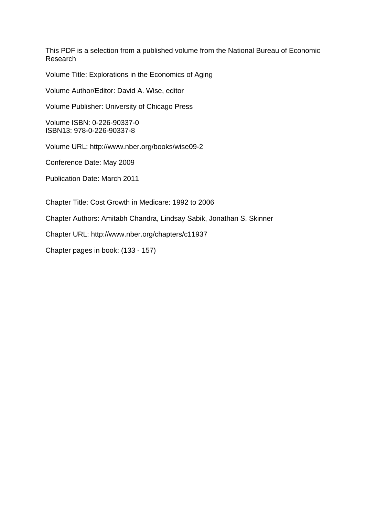This PDF is a selection from a published volume from the National Bureau of Economic Research

Volume Title: Explorations in the Economics of Aging

Volume Author/Editor: David A. Wise, editor

Volume Publisher: University of Chicago Press

Volume ISBN: 0-226-90337-0 ISBN13: 978-0-226-90337-8

Volume URL: http://www.nber.org/books/wise09-2

Conference Date: May 2009

Publication Date: March 2011

Chapter Title: Cost Growth in Medicare: 1992 to 2006

Chapter Authors: Amitabh Chandra, Lindsay Sabik, Jonathan S. Skinner

Chapter URL: http://www.nber.org/chapters/c11937

Chapter pages in book: (133 - 157)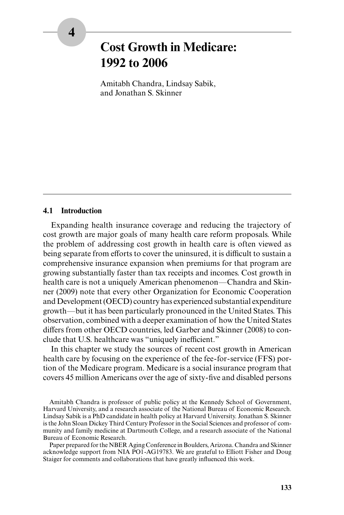## **4**

# **Cost Growth in Medicare: 1992 to 2006**

Amitabh Chandra, Lindsay Sabik, and Jonathan S. Skinner

#### **4.1 Introduction**

Expanding health insurance coverage and reducing the trajectory of cost growth are major goals of many health care reform proposals. While the problem of addressing cost growth in health care is often viewed as being separate from efforts to cover the uninsured, it is difficult to sustain a comprehensive insurance expansion when premiums for that program are growing substantially faster than tax receipts and incomes. Cost growth in health care is not a uniquely American phenomenon—Chandra and Skinner (2009) note that every other Organization for Economic Cooperation and Development (OECD) country has experienced substantial expenditure growth—but it has been particularly pronounced in the United States. This observation, combined with a deeper examination of how the United States differs from other OECD countries, led Garber and Skinner (2008) to conclude that U.S. healthcare was "uniquely inefficient."

In this chapter we study the sources of recent cost growth in American health care by focusing on the experience of the fee-for-service (FFS) portion of the Medicare program. Medicare is a social insurance program that covers 45 million Americans over the age of sixty-five and disabled persons

Amitabh Chandra is professor of public policy at the Kennedy School of Government, Harvard University, and a research associate of the National Bureau of Economic Research. Lindsay Sabik is a PhD candidate in health policy at Harvard University. Jonathan S. Skinner is the John Sloan Dickey Third Century Professor in the Social Sciences and professor of community and family medicine at Dartmouth College, and a research associate of the National Bureau of Economic Research.

Paper prepared for the NBER Aging Conference in Boulders, Arizona. Chandra and Skinner acknowledge support from NIA PO1-AG19783. We are grateful to Elliott Fisher and Doug Staiger for comments and collaborations that have greatly influenced this work.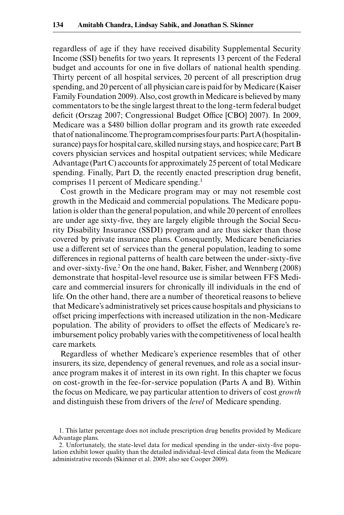regardless of age if they have received disability Supplemental Security Income (SSI) benefits for two years. It represents 13 percent of the Federal budget and accounts for one in five dollars of national health spending. Thirty percent of all hospital services, 20 percent of all prescription drug spending, and 20 percent of all physician care is paid for by Medicare (Kaiser Family Foundation 2009). Also, cost growth in Medicare is believed by many commentators to be the single largest threat to the long- term federal budget deficit (Orszag 2007; Congressional Budget Office [CBO] 2007). In 2009, Medicare was a \$480 billion dollar program and its growth rate exceeded that of national income. The program comprises four parts: Part A (hospital in surance) pays for hospital care, skilled nursing stays, and hospice care; Part B covers physician services and hospital outpatient services; while Medicare Advantage (Part C) accounts for approximately 25 percent of total Medicare spending. Finally, Part D, the recently enacted prescription drug benefit, comprises 11 percent of Medicare spending.<sup>1</sup>

Cost growth in the Medicare program may or may not resemble cost growth in the Medicaid and commercial populations. The Medicare population is older than the general population, and while 20 percent of enrollees are under age sixty-five, they are largely eligible through the Social Security Disability Insurance (SSDI) program and are thus sicker than those covered by private insurance plans. Consequently, Medicare beneficiaries use a different set of services than the general population, leading to some differences in regional patterns of health care between the under-sixty-five and over-sixty-five.<sup>2</sup> On the one hand, Baker, Fisher, and Wennberg (2008) demonstrate that hospital- level resource use is similar between FFS Medicare and commercial insurers for chronically ill individuals in the end of life. On the other hand, there are a number of theoretical reasons to believe that Medicare's administratively set prices cause hospitals and physicians to offset pricing imperfections with increased utilization in the non- Medicare population. The ability of providers to offset the effects of Medicare's reimbursement policy probably varies with the competitiveness of local health care markets.

Regardless of whether Medicare's experience resembles that of other insurers, its size, dependency of general revenues, and role as a social insurance program makes it of interest in its own right. In this chapter we focus on cost- growth in the fee- for- service population (Parts A and B). Within the focus on Medicare, we pay particular attention to drivers of cost *growth* and distinguish these from drivers of the *level* of Medicare spending.

<sup>1.</sup> This latter percentage does not include prescription drug benefits provided by Medicare Advantage plans.

<sup>2.</sup> Unfortunately, the state-level data for medical spending in the under-sixty-five population exhibit lower quality than the detailed individual- level clinical data from the Medicare administrative records (Skinner et al. 2009; also see Cooper 2009).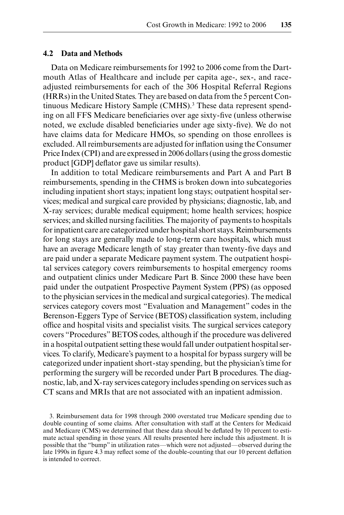#### **4.2 Data and Methods**

Data on Medicare reimbursements for 1992 to 2006 come from the Dartmouth Atlas of Healthcare and include per capita age-, sex-, and race adjusted reimbursements for each of the 306 Hospital Referral Regions (HRRs) in the United States. They are based on data from the 5 percent Continuous Medicare History Sample (CMHS).<sup>3</sup> These data represent spending on all FFS Medicare beneficiaries over age sixty-five (unless otherwise noted, we exclude disabled beneficiaries under age sixty-five). We do not have claims data for Medicare HMOs, so spending on those enrollees is excluded. All reimbursements are adjusted for inflation using the Consumer Price Index (CPI) and are expressed in 2006 dollars (using the gross domestic product [GDP] deflator gave us similar results).

In addition to total Medicare reimbursements and Part A and Part B reimbursements, spending in the CHMS is broken down into subcategories including inpatient short stays; inpatient long stays; outpatient hospital services; medical and surgical care provided by physicians; diagnostic, lab, and X- ray services; durable medical equipment; home health services; hospice services; and skilled nursing facilities. The majority of payments to hospitals for inpatient care are categorized under hospital short stays. Reimbursements for long stays are generally made to long- term care hospitals, which must have an average Medicare length of stay greater than twenty-five days and are paid under a separate Medicare payment system. The outpatient hospital services category covers reimbursements to hospital emergency rooms and outpatient clinics under Medicare Part B. Since 2000 these have been paid under the outpatient Prospective Payment System (PPS) (as opposed to the physician services in the medical and surgical categories). The medical services category covers most "Evaluation and Management" codes in the Berenson-Eggers Type of Service (BETOS) classification system, including office and hospital visits and specialist visits. The surgical services category covers "Procedures" BETOS codes, although if the procedure was delivered in a hospital outpatient setting these would fall under outpatient hospital services. To clarify, Medicare's payment to a hospital for bypass surgery will be categorized under inpatient short- stay spending, but the physician's time for performing the surgery will be recorded under Part B procedures. The diagnostic, lab, and X- ray services category includes spending on services such as CT scans and MRIs that are not associated with an inpatient admission.

<sup>3.</sup> Reimbursement data for 1998 through 2000 overstated true Medicare spending due to double counting of some claims. After consultation with staff at the Centers for Medicaid and Medicare (CMS) we determined that these data should be deflated by 10 percent to estimate actual spending in those years. All results presented here include this adjustment. It is possible that the "bump" in utilization rates—which were not adjusted—observed during the late 1990s in figure 4.3 may reflect some of the double-counting that our 10 percent deflation is intended to correct.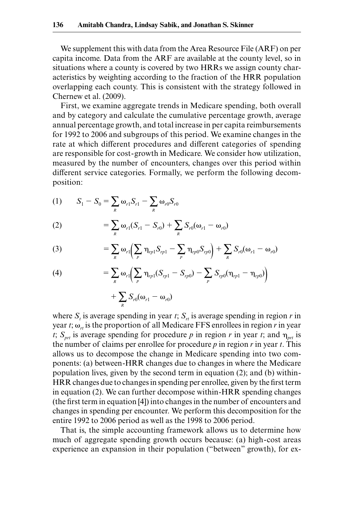We supplement this with data from the Area Resource File (ARF) on per capita income. Data from the ARF are available at the county level, so in situations where a county is covered by two HRRs we assign county characteristics by weighting according to the fraction of the HRR population overlapping each county. This is consistent with the strategy followed in Chernew et al. (2009).

First, we examine aggregate trends in Medicare spending, both overall and by category and calculate the cumulative percentage growth, average annual percentage growth, and total increase in per capita reimbursements for 1992 to 2006 and subgroups of this period. We examine changes in the rate at which different procedures and different categories of spending are responsible for cost- growth in Medicare. We consider how utilization, measured by the number of encounters, changes over this period within different service categories. Formally, we perform the following decomposition:

(1) 
$$
S_1 - S_0 = \sum_{R} \omega_{r1} S_{r1} - \sum_{R} \omega_{r0} S_{r0}
$$

*R*

(2) 
$$
= \sum_{R} \omega_{r1}(S_{r1} - S_{r0}) + \sum_{R} S_{r0}(\omega_{r1} - \omega_{r0})
$$

(3) 
$$
= \sum_{R} \omega_{r1} \Biggl( \sum_{P} \eta_{rp1} S_{rp1} - \sum_{P} \eta_{rp0} S_{rp0} \Biggr) + \sum_{R} S_{r0} (\omega_{r1} - \omega_{r0})
$$

(4) 
$$
= \sum_{R} \omega_{r1} \Biggl( \sum_{P} \eta_{rpl} (S_{rpl} - S_{rpo}) - \sum_{P} S_{rpo} (\eta_{rpl} - \eta_{rpo}) \Biggr) + \sum_{P} S_{r0} (\omega_{r1} - \omega_{r0})
$$

where  $S_t$  is average spending in year *t*;  $S_{rt}$  is average spending in region *r* in year  $t$ ;  $\omega_{r}$  is the proportion of all Medicare FFS enrollees in region  $r$  in year *t*;  $S_{\textit{net}}$  is average spending for procedure *p* in region *r* in year *t*; and  $\eta_{\textit{net}}$  is the number of claims per enrollee for procedure *p* in region *r* in year *t*. This allows us to decompose the change in Medicare spending into two components: (a) between- HRR changes due to changes in where the Medicare population lives, given by the second term in equation (2); and (b) within- HRR changes due to changes in spending per enrollee, given by the first term in equation (2). We can further decompose within- HRR spending changes (the first term in equation  $[4]$ ) into changes in the number of encounters and changes in spending per encounter. We perform this decomposition for the entire 1992 to 2006 period as well as the 1998 to 2006 period.

That is, the simple accounting framework allows us to determine how much of aggregate spending growth occurs because: (a) high-cost areas experience an expansion in their population ("between" growth), for ex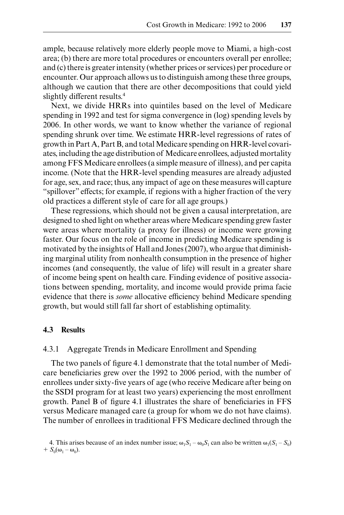ample, because relatively more elderly people move to Miami, a high-cost area; (b) there are more total procedures or encounters overall per enrollee; and (c) there is greater intensity (whether prices or services) per procedure or encounter. Our approach allows us to distinguish among these three groups, although we caution that there are other decompositions that could yield slightly different results.4

Next, we divide HRRs into quintiles based on the level of Medicare spending in 1992 and test for sigma convergence in (log) spending levels by 2006. In other words, we want to know whether the variance of regional spending shrunk over time. We estimate HRR- level regressions of rates of growth in Part A, Part B, and total Medicare spending on HRR- level covariates, including the age distribution of Medicare enrollees, adjusted mortality among FFS Medicare enrollees (a simple measure of illness), and per capita income. (Note that the HRR- level spending measures are already adjusted for age, sex, and race; thus, any impact of age on these measures will capture "spillover" effects; for example, if regions with a higher fraction of the very old practices a different style of care for all age groups.)

These regressions, which should not be given a causal interpretation, are designed to shed light on whether areas where Medicare spending grew faster were areas where mortality (a proxy for illness) or income were growing faster. Our focus on the role of income in predicting Medicare spending is motivated by the insights of Hall and Jones (2007), who argue that diminishing marginal utility from nonhealth consumption in the presence of higher incomes (and consequently, the value of life) will result in a greater share of income being spent on health care. Finding evidence of positive associations between spending, mortality, and income would provide prima facie evidence that there is *some* allocative efficiency behind Medicare spending growth, but would still fall far short of establishing optimality.

#### **4.3 Results**

4.3.1 Aggregate Trends in Medicare Enrollment and Spending

The two panels of figure 4.1 demonstrate that the total number of Medicare beneficiaries grew over the 1992 to 2006 period, with the number of enrollees under sixty-five years of age (who receive Medicare after being on the SSDI program for at least two years) experiencing the most enrollment growth. Panel B of figure 4.1 illustrates the share of beneficiaries in FFS versus Medicare managed care (a group for whom we do not have claims). The number of enrollees in traditional FFS Medicare declined through the

<sup>4.</sup> This arises because of an index number issue;  $\omega_1 S_1 - \omega_0 S_1$  can also be written  $\omega_1 (S_1 - S_0)$ +  $S_0(\omega_1 - \omega_0)$ .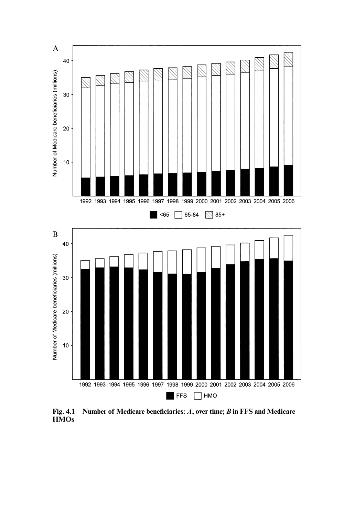

**Number of Medicare beneficiaries:** *A***, over time;** *B* **in FFS and Medicare HMOs**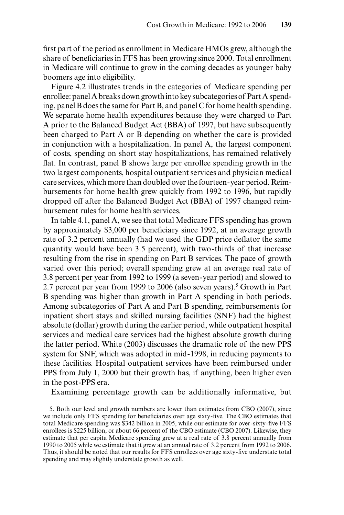first part of the period as enrollment in Medicare HMOs grew, although the share of beneficiaries in FFS has been growing since 2000. Total enrollment in Medicare will continue to grow in the coming decades as younger baby boomers age into eligibility.

Figure 4.2 illustrates trends in the categories of Medicare spending per enrollee: panel A breaks down growth into key subcategories of Part A spending, panel B does the same for Part B, and panel C for home health spending. We separate home health expenditures because they were charged to Part A prior to the Balanced Budget Act (BBA) of 1997, but have subsequently been charged to Part A or B depending on whether the care is provided in conjunction with a hospitalization. In panel A, the largest component of costs, spending on short stay hospitalizations, has remained relatively flat. In contrast, panel B shows large per enrollee spending growth in the two largest components, hospital outpatient services and physician medical care services, which more than doubled over the fourteen- year period. Reimbursements for home health grew quickly from 1992 to 1996, but rapidly dropped off after the Balanced Budget Act (BBA) of 1997 changed reimbursement rules for home health services.

In table 4.1, panel A, we see that total Medicare FFS spending has grown by approximately \$3,000 per beneficiary since 1992, at an average growth rate of 3.2 percent annually (had we used the GDP price deflator the same quantity would have been 3.5 percent), with two- thirds of that increase resulting from the rise in spending on Part B services. The pace of growth varied over this period; overall spending grew at an average real rate of 3.8 percent per year from 1992 to 1999 (a seven- year period) and slowed to 2.7 percent per year from 1999 to 2006 (also seven years).<sup>5</sup> Growth in Part B spending was higher than growth in Part A spending in both periods. Among subcategories of Part A and Part B spending, reimbursements for inpatient short stays and skilled nursing facilities (SNF) had the highest absolute (dollar) growth during the earlier period, while outpatient hospital services and medical care services had the highest absolute growth during the latter period. White (2003) discusses the dramatic role of the new PPS system for SNF, which was adopted in mid- 1998, in reducing payments to these facilities. Hospital outpatient services have been reimbursed under PPS from July 1, 2000 but their growth has, if anything, been higher even in the post-PPS era.

Examining percentage growth can be additionally informative, but

5. Both our level and growth numbers are lower than estimates from CBO (2007), since we include only FFS spending for beneficiaries over age sixty-five. The CBO estimates that total Medicare spending was \$342 billion in 2005, while our estimate for over-sixty-five FFS enrollees is \$225 billion, or about 66 percent of the CBO estimate (CBO 2007). Likewise, they estimate that per capita Medicare spending grew at a real rate of 3.8 percent annually from 1990 to 2005 while we estimate that it grew at an annual rate of 3.2 percent from 1992 to 2006. Thus, it should be noted that our results for FFS enrollees over age sixty-five understate total spending and may slightly understate growth as well.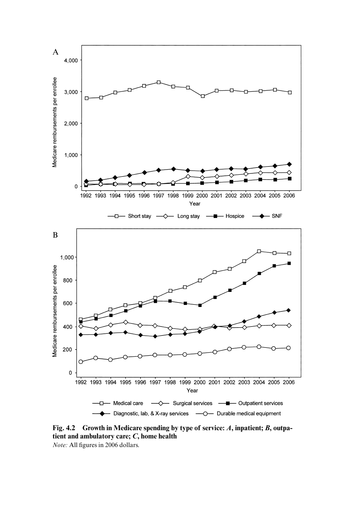

**Fig. 4.2 Growth in Medicare spending by type of service:** *A***, inpatient;** *B***, outpatient and ambulatory care;** *C***, home health** *Note:* All figures in 2006 dollars.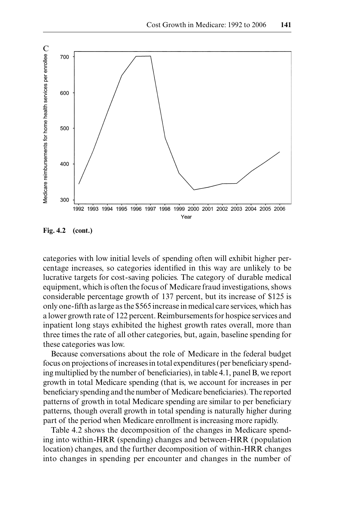

**Fig. 4.2 (cont.)**

 categories with low initial levels of spending often will exhibit higher percentage increases, so categories identified in this way are unlikely to be lucrative targets for cost- saving policies. The category of durable medical equipment, which is often the focus of Medicare fraud investigations, shows considerable percentage growth of 137 percent, but its increase of \$125 is only one-fifth as large as the \$565 increase in medical care services, which has a lower growth rate of 122 percent. Reimbursements for hospice services and inpatient long stays exhibited the highest growth rates overall, more than three times the rate of all other categories, but, again, baseline spending for these categories was low.

Because conversations about the role of Medicare in the federal budget focus on projections of increases in total expenditures (per beneficiary spending multiplied by the number of beneficiaries), in table 4.1, panel B, we report growth in total Medicare spending (that is, we account for increases in per beneficiary spending and the number of Medicare beneficiaries). The reported patterns of growth in total Medicare spending are similar to per beneficiary patterns, though overall growth in total spending is naturally higher during part of the period when Medicare enrollment is increasing more rapidly.

Table 4.2 shows the decomposition of the changes in Medicare spending into within-HRR (spending) changes and between-HRR (population location) changes, and the further decomposition of within-HRR changes into changes in spending per encounter and changes in the number of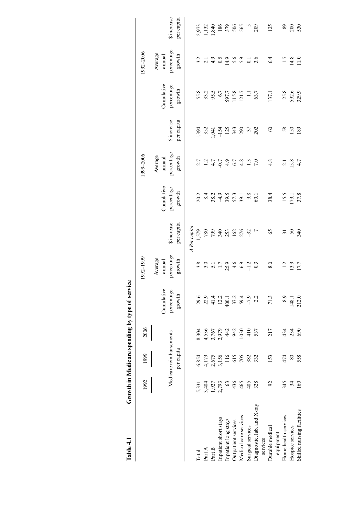| Table 4.1                  |                |                                                |                                                  | Growth in Medicare spending by type of service |                                           |                          |                                    |                                           |                                              |                                    |                                                                                                                                                                                                     |                                       |
|----------------------------|----------------|------------------------------------------------|--------------------------------------------------|------------------------------------------------|-------------------------------------------|--------------------------|------------------------------------|-------------------------------------------|----------------------------------------------|------------------------------------|-----------------------------------------------------------------------------------------------------------------------------------------------------------------------------------------------------|---------------------------------------|
|                            | 1992           | 1999                                           | 2006                                             |                                                | 1992-1999                                 |                          |                                    | 1999-2006                                 |                                              |                                    | 1992-2006                                                                                                                                                                                           |                                       |
|                            |                | Medicare reimbursements<br>per capita          |                                                  | Cumulative<br>percentage<br>growth             | percentage<br>growth<br>Average<br>annual | per capita<br>\$increase | Cumulative<br>percentage<br>growth | percentage<br>growth<br>Average<br>annual | per capita<br>\$increase                     | Cumulative<br>percentage<br>growth | percentage<br>growth<br>Average<br>annual                                                                                                                                                           | \$increase<br>per capita              |
|                            |                |                                                |                                                  |                                                |                                           | A Per capita             |                                    |                                           |                                              |                                    |                                                                                                                                                                                                     |                                       |
| Total                      | 5,331          |                                                | 8,304                                            |                                                |                                           | 1,579                    |                                    |                                           | , 394                                        |                                    |                                                                                                                                                                                                     |                                       |
| Part A                     | 3,404          |                                                |                                                  |                                                |                                           | 780                      | $20.2$<br>8.4                      | $2.7$<br>$1.2$<br>$4.7$                   |                                              |                                    |                                                                                                                                                                                                     |                                       |
| Part B                     |                |                                                |                                                  |                                                |                                           | 799                      |                                    |                                           |                                              |                                    |                                                                                                                                                                                                     |                                       |
| Inpatient short stays      | 1,927<br>2,793 | 6,854<br>4,179<br>4,156<br>5,156<br>705<br>705 | 4,536<br>3,767<br>2,979<br>4,2<br>9,030<br>1,030 | $29.6$<br>$21.4$<br>$41.2$<br>$40.1$           |                                           | 340<br>253               | 2849.5738                          | $-9.7$                                    | $351$<br>$-154$<br>$-123$<br>$-358$<br>$-55$ | 55.3<br>55.5<br>597.7<br>58115.8   | $\frac{1}{2}$ $\frac{1}{2}$ $\frac{1}{4}$ $\frac{3}{2}$ $\frac{5}{4}$ $\frac{6}{2}$ $\frac{6}{2}$ $\frac{3}{2}$ $\frac{1}{2}$ $\frac{1}{2}$ $\frac{3}{2}$ $\frac{5}{2}$ $\frac{3}{2}$ $\frac{1}{2}$ | 2,973<br>1,132<br>1,840<br>1866 565 5 |
| Inpatient long stays       | $\mathcal{C}$  |                                                |                                                  |                                                |                                           |                          |                                    |                                           |                                              |                                    |                                                                                                                                                                                                     |                                       |
| Outpatient services        | 436            |                                                |                                                  | 37.2                                           |                                           | 162                      |                                    | $6.7\,$                                   |                                              |                                    |                                                                                                                                                                                                     |                                       |
| Medical care services      | 465            |                                                |                                                  | $-7.9$                                         |                                           | 276                      |                                    | 4.8                                       |                                              | 121.7                              |                                                                                                                                                                                                     |                                       |
| Surgical services          | 405            | 382                                            | 410                                              |                                                |                                           | $-32$                    |                                    | $\frac{1}{3}$                             |                                              | $\Xi$                              |                                                                                                                                                                                                     |                                       |
| Diagnostic, lab, and X-ray | 328            | 332                                            | 537                                              | 22                                             | $\ddot{\circ}$                            |                          | 60.1                               | $7.0\,$                                   | 202                                          | 63.7                               | 3.6                                                                                                                                                                                                 | 209                                   |
| services                   |                |                                                |                                                  |                                                |                                           |                          |                                    |                                           |                                              |                                    |                                                                                                                                                                                                     |                                       |
| Durable medical            | 52             | 153                                            | 217                                              | 71.3                                           | 8.0                                       | 65                       | 38.4                               | 4.8                                       | $\mathcal{S}$                                | 137.1                              | 6.4                                                                                                                                                                                                 | 125                                   |
| equipment                  |                |                                                |                                                  |                                                |                                           |                          |                                    |                                           |                                              |                                    |                                                                                                                                                                                                     |                                       |
| Home health services       | 345            | 474                                            |                                                  | 8.9                                            |                                           | 51                       | 15.5                               |                                           |                                              |                                    |                                                                                                                                                                                                     | 89                                    |
| Hospice services           |                | 80                                             | 434<br>234                                       | 148.1                                          | $1.2$<br>13.9                             | 50                       | 179.1                              | $\frac{2.1}{15.8}$                        | $\frac{58}{150}$                             | 25.8<br>592.6                      | $1.7$<br>14.8                                                                                                                                                                                       | $200\,$                               |
| Skilled nursing facilities | $\frac{60}{2}$ | 558                                            | 690                                              | 212.0                                          | 17.7                                      | 340                      | 37.8                               | 4.7                                       | 189                                          | 329.9                              | 11.0                                                                                                                                                                                                | 530                                   |

e of service **Table 4.1 Growth in Medicare spending by type of service** ding by typ Growth in Medica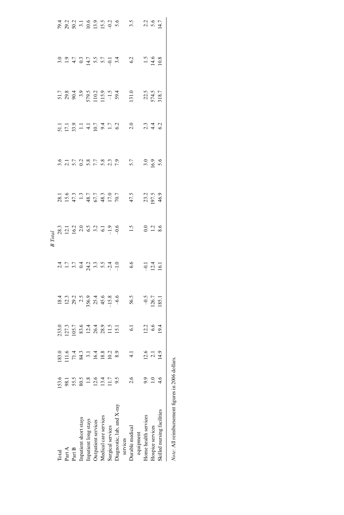|                                     |               |                                                              |                           |                          |                 | <b>B</b> Total                                                 |                                                                                                                                                                                                                                  |                          |                                                                                                                                  |                        |                                                                                                                |
|-------------------------------------|---------------|--------------------------------------------------------------|---------------------------|--------------------------|-----------------|----------------------------------------------------------------|----------------------------------------------------------------------------------------------------------------------------------------------------------------------------------------------------------------------------------|--------------------------|----------------------------------------------------------------------------------------------------------------------------------|------------------------|----------------------------------------------------------------------------------------------------------------|
| <b>Total</b>                        | 153.6         | 83.0                                                         |                           |                          |                 |                                                                |                                                                                                                                                                                                                                  |                          |                                                                                                                                  |                        |                                                                                                                |
| Part A<br>Part B                    |               |                                                              |                           |                          |                 |                                                                |                                                                                                                                                                                                                                  |                          |                                                                                                                                  |                        |                                                                                                                |
|                                     | 55.5          |                                                              |                           |                          |                 |                                                                |                                                                                                                                                                                                                                  |                          |                                                                                                                                  |                        |                                                                                                                |
| npatient short stays                | 80.5          |                                                              |                           |                          |                 |                                                                |                                                                                                                                                                                                                                  |                          |                                                                                                                                  |                        |                                                                                                                |
| inpatient long stays                | 1.8           |                                                              |                           |                          |                 |                                                                |                                                                                                                                                                                                                                  |                          |                                                                                                                                  |                        |                                                                                                                |
| Jutpatient services                 | 12.6          |                                                              |                           |                          |                 |                                                                |                                                                                                                                                                                                                                  |                          |                                                                                                                                  |                        |                                                                                                                |
| <b><i>dedical</i></b> care services | 13.4          |                                                              |                           |                          |                 |                                                                |                                                                                                                                                                                                                                  |                          |                                                                                                                                  |                        |                                                                                                                |
| urgical services                    |               |                                                              |                           |                          |                 |                                                                |                                                                                                                                                                                                                                  |                          |                                                                                                                                  |                        |                                                                                                                |
| Diagnostic, lab, and X-ray          |               | $11.6$<br>$71.4$ $31.1$<br>$14.8$ $80.2$<br>$80.3$<br>$80.3$ |                           |                          |                 |                                                                |                                                                                                                                                                                                                                  |                          |                                                                                                                                  |                        |                                                                                                                |
| services                            |               |                                                              |                           |                          |                 |                                                                |                                                                                                                                                                                                                                  |                          |                                                                                                                                  |                        |                                                                                                                |
| Jurable medical                     | $\frac{6}{2}$ | 4.1                                                          | 6.1                       |                          |                 | $28.3$<br>$21.4$ $20.5$ $20.4$ $10.5$ $-1$ $-1$ $-1$ $-1$ $-1$ | $28.1$<br>$29.7$ $30.7$ $75.7$ $30.9$ $50.7$ $50.7$ $50.7$ $50.7$ $50.7$ $50.7$ $50.7$ $50.7$ $50.7$ $50.7$ $50.7$ $50.7$ $50.7$ $50.7$ $50.7$ $50.7$ $50.7$ $50.7$ $50.7$ $50.7$ $50.7$ $50.7$ $50.7$ $50.7$ $50.7$ $50.7$ $50$ | A THURT SAN THU          | $51.79$<br>$17.79$<br>$17.79$<br>$17.79$<br>$17.79$<br>$17.79$<br>$17.79$<br>$17.79$<br>$17.79$<br>$17.79$<br>$17.79$<br>$17.79$ |                        | $\begin{array}{ccc}\n 2 & 2 & 3 & 3 & 4 & 6 \\  2 & 3 & 2 & 3 & 5 & 6 \\  3 & 3 & 5 & 6 & 6 & 6\n \end{array}$ |
| equipment                           |               |                                                              |                           |                          |                 |                                                                |                                                                                                                                                                                                                                  |                          |                                                                                                                                  |                        |                                                                                                                |
| Iome health services                | 9.9           |                                                              |                           |                          |                 |                                                                |                                                                                                                                                                                                                                  |                          |                                                                                                                                  |                        |                                                                                                                |
| Iospice services                    |               | $12.6$<br>$14.9$                                             | $12.2$<br>$6.6$<br>$19.4$ | $-0.5$<br>126.7<br>185.1 | $-12.4$<br>16.1 | $0.0$<br>$1.2$<br>$8.6$                                        | 23.2<br>97.5<br>46.9                                                                                                                                                                                                             | $3.0$<br>$16.9$<br>$5.6$ | $2.3$<br>$4.4$<br>$6.2$                                                                                                          | 22.5<br>574.5<br>318.7 |                                                                                                                |
| Skilled nursing facilities          |               |                                                              |                           |                          |                 |                                                                |                                                                                                                                                                                                                                  |                          |                                                                                                                                  |                        |                                                                                                                |
|                                     |               |                                                              |                           |                          |                 |                                                                |                                                                                                                                                                                                                                  |                          |                                                                                                                                  |                        |                                                                                                                |

Note: All reimbursement figures in 2006 dollars. *Note:* All reimbursement figures in 2006 dollars.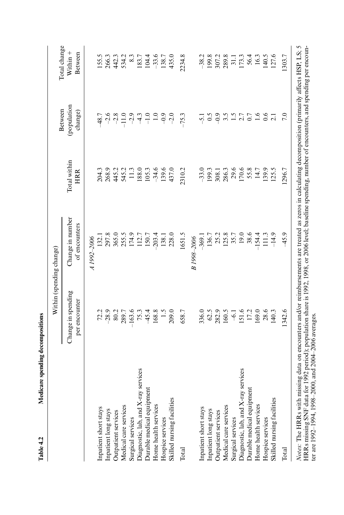| Table 4.2                           | Medicare spending decompositions |                                                                                                                                                                                                                                                                                                                                                                            |                                   |                            |                            |                                        |
|-------------------------------------|----------------------------------|----------------------------------------------------------------------------------------------------------------------------------------------------------------------------------------------------------------------------------------------------------------------------------------------------------------------------------------------------------------------------|-----------------------------------|----------------------------|----------------------------|----------------------------------------|
|                                     |                                  | Within (spending change)                                                                                                                                                                                                                                                                                                                                                   |                                   |                            | Between                    | Total change                           |
|                                     |                                  | Change in spending<br>per encounter                                                                                                                                                                                                                                                                                                                                        | Change in number<br>of encounters | Total within<br><b>HRR</b> | (population<br>change)     | Within $+$<br>Between                  |
|                                     |                                  |                                                                                                                                                                                                                                                                                                                                                                            | A1992–2006                        |                            |                            |                                        |
| Inpatient short stays               |                                  | 72.2                                                                                                                                                                                                                                                                                                                                                                       | 132.1                             | 204.3                      | 48.7                       | 155.5                                  |
| Inpatient long stays                |                                  | $-28.9$                                                                                                                                                                                                                                                                                                                                                                    | 297.8                             | 268.9                      |                            | 266.3                                  |
| Outpatient services                 |                                  | 80.2                                                                                                                                                                                                                                                                                                                                                                       | 365.0                             | 445.2                      | $-2.6$<br>$-2.8$           | 442.3                                  |
| Medical care services               |                                  | 289.7                                                                                                                                                                                                                                                                                                                                                                      |                                   |                            | $-11.0$                    | 534.2                                  |
| Surgical services                   |                                  | $-163.6$                                                                                                                                                                                                                                                                                                                                                                   | 255.5<br>174.9                    | 545.2<br>11.3              |                            | $8.\overline{3}$                       |
| Diagnostic, lab, and X-ray services |                                  |                                                                                                                                                                                                                                                                                                                                                                            | 112.7                             | 188.0                      | $-2,3$<br>$-1,3$<br>$-1,0$ | 183.7                                  |
| Durable medical equipment           |                                  | $75.3$<br>45.4                                                                                                                                                                                                                                                                                                                                                             | 150.7                             | 105.3                      |                            | 104.4                                  |
| Home health services                |                                  | 168.8                                                                                                                                                                                                                                                                                                                                                                      | 203.4                             | $-34.6$                    | $\overline{1.0}$           | $-33.6$                                |
| Hospice services                    |                                  | 1.5                                                                                                                                                                                                                                                                                                                                                                        | 138.1                             | 139.6                      | $-0.9$                     | 138.7                                  |
| Skilled nursing facilities          |                                  | 209.0                                                                                                                                                                                                                                                                                                                                                                      | 228.0                             | 437.0                      | $-2.0$                     | 435.0                                  |
| Total                               |                                  | 658.7                                                                                                                                                                                                                                                                                                                                                                      | 1651.5                            | 2310.2                     | $-75.3$                    | 2234.8                                 |
|                                     |                                  |                                                                                                                                                                                                                                                                                                                                                                            | B1998-2006                        |                            |                            |                                        |
| Inpatient short stays               |                                  | 336.0                                                                                                                                                                                                                                                                                                                                                                      | $-369.1$                          | $-33.0$                    | $-51$                      | $-38.2$                                |
| Inpatient long stays                |                                  |                                                                                                                                                                                                                                                                                                                                                                            | 136.7                             | 199.3                      | $\sim$                     | 199.8                                  |
| Outpatient services                 |                                  | $62.5$<br>$282.9$<br>$160.5$                                                                                                                                                                                                                                                                                                                                               | 25.2                              | 308.1                      | $-0.9$                     | 307.2                                  |
| Medical care services               |                                  |                                                                                                                                                                                                                                                                                                                                                                            | 125.8                             | 286.3<br>29.6<br>170.6     | 3.5                        | 289.8<br>31.1<br>173.3<br>56.4<br>16.3 |
| Surgical services                   |                                  | $-6.1$                                                                                                                                                                                                                                                                                                                                                                     | 35.7                              |                            | 1.5                        |                                        |
| Diagnostic, lab, and X-ray services |                                  | 151.6                                                                                                                                                                                                                                                                                                                                                                      | 19.0                              |                            | 2.7                        |                                        |
| Durable medical equipment           |                                  | 17.2                                                                                                                                                                                                                                                                                                                                                                       | 38.6                              | 55.8                       | 0.7                        |                                        |
| Home health services                |                                  | 169.0                                                                                                                                                                                                                                                                                                                                                                      | $-154.4$                          | 14.7                       | 1.6                        |                                        |
| Hospice services                    |                                  | 28.6                                                                                                                                                                                                                                                                                                                                                                       | 111.3                             | 139.9                      | 0.6                        | 140.5                                  |
| Skilled nursing facilities          |                                  | 140.3                                                                                                                                                                                                                                                                                                                                                                      | $-14.9$                           | 125.5                      | 2.1                        | 127.6                                  |
| Total                               |                                  | 1342.6                                                                                                                                                                                                                                                                                                                                                                     | $-45.9$                           | 1296.7                     | 7.0                        | 1303.7                                 |
|                                     |                                  | Notes: The HRRs with missing data on encounters and/or reimbursements are treated as zeros in calculating decomposition (primarily affects HSP, LS, 5<br>HRRs missing SNF data for 1992 period); population share is 1992, 1998, or 2006 level; baseline spending, number of encounters, and spending per encoun-<br>ter are 1992–1994, 1998–2000, and 2004–2006 averages. |                                   |                            |                            |                                        |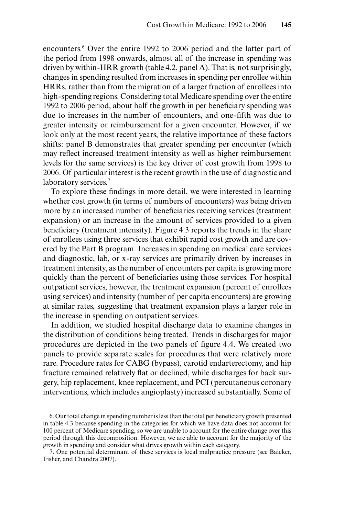encounters.6 Over the entire 1992 to 2006 period and the latter part of the period from 1998 onwards, almost all of the increase in spending was driven by within-HRR growth (table 4.2, panel A). That is, not surprisingly, changes in spending resulted from increases in spending per enrollee within HRRs, rather than from the migration of a larger fraction of enrollees into high- spending regions. Considering total Medicare spending over the entire 1992 to 2006 period, about half the growth in per beneficiary spending was due to increases in the number of encounters, and one-fifth was due to greater intensity or reimbursement for a given encounter. However, if we look only at the most recent years, the relative importance of these factors shifts: panel B demonstrates that greater spending per encounter (which may reflect increased treatment intensity as well as higher reimbursement levels for the same services) is the key driver of cost growth from 1998 to 2006. Of particular interest is the recent growth in the use of diagnostic and laboratory services.<sup>7</sup>

To explore these findings in more detail, we were interested in learning whether cost growth (in terms of numbers of encounters) was being driven more by an increased number of beneficiaries receiving services (treatment expansion) or an increase in the amount of services provided to a given beneficiary (treatment intensity). Figure 4.3 reports the trends in the share of enrollees using three services that exhibit rapid cost growth and are covered by the Part B program. Increases in spending on medical care services and diagnostic, lab, or x-ray services are primarily driven by increases in treatment intensity, as the number of encounters per capita is growing more quickly than the percent of beneficiaries using those services. For hospital outpatient services, however, the treatment expansion (percent of enrollees using services) and intensity (number of per capita encounters) are growing at similar rates, suggesting that treatment expansion plays a larger role in the increase in spending on outpatient services.

In addition, we studied hospital discharge data to examine changes in the distribution of conditions being treated. Trends in discharges for major procedures are depicted in the two panels of figure 4.4. We created two panels to provide separate scales for procedures that were relatively more rare. Procedure rates for CABG (bypass), carotid endarterectomy, and hip fracture remained relatively flat or declined, while discharges for back surgery, hip replacement, knee replacement, and PCI (percutaneous coronary interventions, which includes angioplasty) increased substantially. Some of

<sup>6.</sup> Our total change in spending number is less than the total per beneficiary growth presented in table 4.3 because spending in the categories for which we have data does not account for 100 percent of Medicare spending, so we are unable to account for the entire change over this period through this decomposition. However, we are able to account for the majority of the growth in spending and consider what drives growth within each category.

<sup>7.</sup> One potential determinant of these services is local malpractice pressure (see Baicker, Fisher, and Chandra 2007).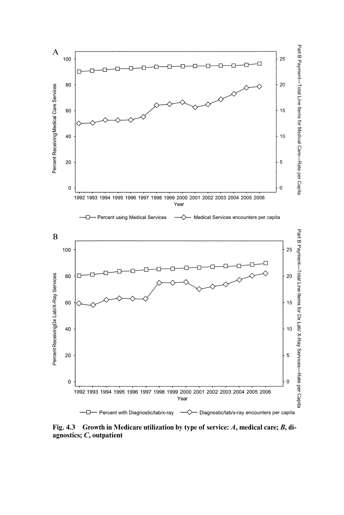

**Fig. 4.3 Growth in Medicare utilization by type of service:** *A***, medical care;** *B***, diagnostics;** *C***, outpatient**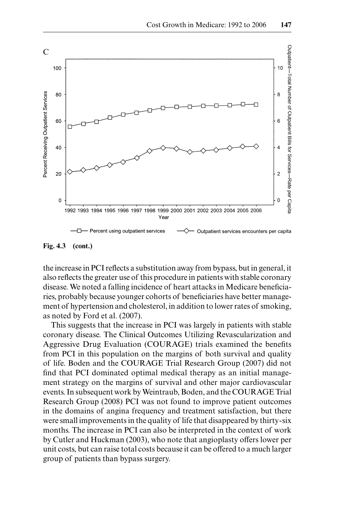

**Fig. 4.3 (cont.)**

the increase in PCI reflects a substitution away from bypass, but in general, it also reflects the greater use of this procedure in patients with stable coronary disease. We noted a falling incidence of heart attacks in Medicare beneficiaries, probably because younger cohorts of beneficiaries have better management of hypertension and cholesterol, in addition to lower rates of smoking, as noted by Ford et al. (2007).

This suggests that the increase in PCI was largely in patients with stable coronary disease. The Clinical Outcomes Utilizing Revascularization and Aggressive Drug Evaluation (COURAGE) trials examined the benefits from PCI in this population on the margins of both survival and quality of life. Boden and the COURAGE Trial Research Group (2007) did not find that PCI dominated optimal medical therapy as an initial management strategy on the margins of survival and other major cardiovascular events. In subsequent work by Weintraub, Boden, and the COURAGE Trial Research Group (2008) PCI was not found to improve patient outcomes in the domains of angina frequency and treatment satisfaction, but there were small improvements in the quality of life that disappeared by thirty- six months. The increase in PCI can also be interpreted in the context of work by Cutler and Huckman (2003), who note that angioplasty offers lower per unit costs, but can raise total costs because it can be offered to a much larger group of patients than bypass surgery.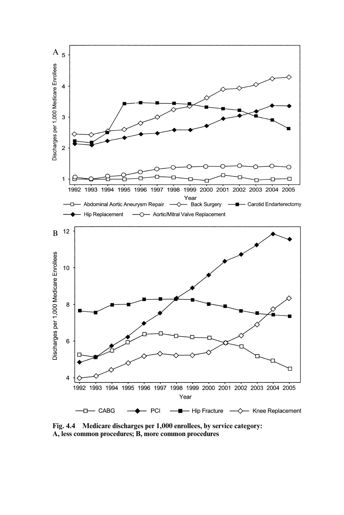

**Fig. 4.4 Medicare discharges per 1,000 enrollees, by service category: A, less common procedures; B, more common procedures**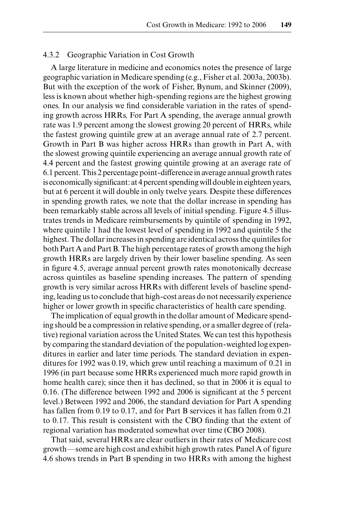#### 4.3.2 Geographic Variation in Cost Growth

A large literature in medicine and economics notes the presence of large geographic variation in Medicare spending (e.g., Fisher et al. 2003a, 2003b). But with the exception of the work of Fisher, Bynum, and Skinner (2009), less is known about whether high- spending regions are the highest growing ones. In our analysis we find considerable variation in the rates of spending growth across HRRs. For Part A spending, the average annual growth rate was 1.9 percent among the slowest growing 20 percent of HRRs, while the fastest growing quintile grew at an average annual rate of 2.7 percent. Growth in Part B was higher across HRRs than growth in Part A, with the slowest growing quintile experiencing an average annual growth rate of 4.4 percent and the fastest growing quintile growing at an average rate of 6.1 percent. This 2 percentage point- difference in average annual growth rates is economically significant: at 4 percent spending will double in eighteen years, but at 6 percent it will double in only twelve years. Despite these differences in spending growth rates, we note that the dollar increase in spending has been remarkably stable across all levels of initial spending. Figure 4.5 illustrates trends in Medicare reimbursements by quintile of spending in 1992, where quintile 1 had the lowest level of spending in 1992 and quintile 5 the highest. The dollar increases in spending are identical across the quintiles for both Part A and Part B. The high percentage rates of growth among the high growth HRRs are largely driven by their lower baseline spending. As seen in figure 4.5, average annual percent growth rates monotonically decrease across quintiles as baseline spending increases. The pattern of spending growth is very similar across HRRs with different levels of baseline spending, leading us to conclude that high- cost areas do not necessarily experience higher or lower growth in specific characteristics of health care spending.

The implication of equal growth in the dollar amount of Medicare spending should be a compression in relative spending, or a smaller degree of (relative) regional variation across the United States. We can test this hypothesis by comparing the standard deviation of the population- weighted log expenditures in earlier and later time periods. The standard deviation in expenditures for 1992 was 0.19, which grew until reaching a maximum of 0.21 in 1996 (in part because some HRRs experienced much more rapid growth in home health care); since then it has declined, so that in 2006 it is equal to 0.16. (The difference between 1992 and 2006 is significant at the 5 percent level.) Between 1992 and 2006, the standard deviation for Part A spending has fallen from 0.19 to 0.17, and for Part B services it has fallen from 0.21 to 0.17. This result is consistent with the CBO finding that the extent of regional variation has moderated somewhat over time (CBO 2008).

That said, several HRRs are clear outliers in their rates of Medicare cost growth—some are high cost and exhibit high growth rates. Panel A of figure 4.6 shows trends in Part B spending in two HRRs with among the highest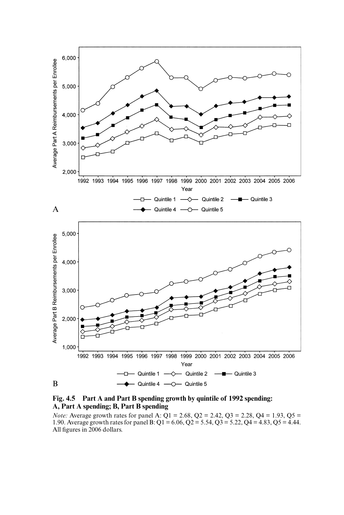

#### **Fig. 4.5 Part A and Part B spending growth by quintile of 1992 spending: A, Part A spending; B, Part B spending**

*Note:* Average growth rates for panel A: Q1 = 2.68, Q2 = 2.42, Q3 = 2.28, Q4 = 1.93, Q5 = 1.90. Average growth rates for panel B:  $Q1 = 6.06$ ,  $Q2 = 5.54$ ,  $Q3 = 5.22$ ,  $Q4 = 4.83$ ,  $Q5 = 4.44$ . All figures in 2006 dollars.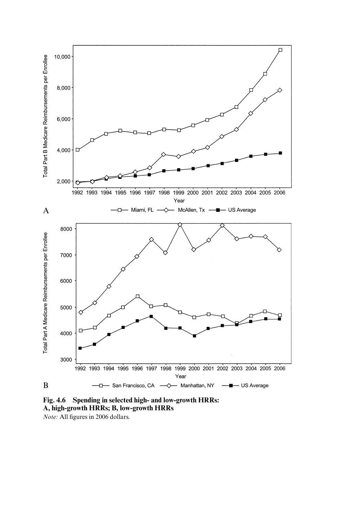

Fig. 4.6 Spending in selected high- and low-growth HRRs: **A, high-growth HRRs; B, low-growth HRRs**

*Note:* All figures in 2006 dollars.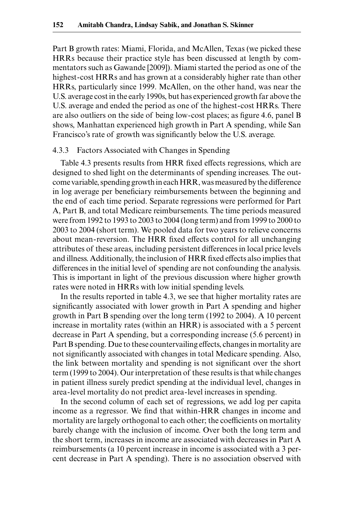Part B growth rates: Miami, Florida, and McAllen, Texas (we picked these HRRs because their practice style has been discussed at length by commentators such as Gawande [2009]). Miami started the period as one of the highest- cost HRRs and has grown at a considerably higher rate than other HRRs, particularly since 1999. McAllen, on the other hand, was near the U.S. average cost in the early 1990s, but has experienced growth far above the U.S. average and ended the period as one of the highest- cost HRRs. There are also outliers on the side of being low-cost places; as figure 4.6, panel B shows, Manhattan experienced high growth in Part A spending, while San Francisco's rate of growth was significantly below the U.S. average.

#### 4.3.3 Factors Associated with Changes in Spending

Table 4.3 presents results from HRR fixed effects regressions, which are designed to shed light on the determinants of spending increases. The outcome variable, spending growth in each HRR, was measured by the difference in log average per beneficiary reimbursements between the beginning and the end of each time period. Separate regressions were performed for Part A, Part B, and total Medicare reimbursements. The time periods measured were from 1992 to 1993 to 2003 to 2004 (long term) and from 1999 to 2000 to 2003 to 2004 (short term). We pooled data for two years to relieve concerns about mean-reversion. The HRR fixed effects control for all unchanging attributes of these areas, including persistent differences in local price levels and illness. Additionally, the inclusion of HRR fixed effects also implies that differences in the initial level of spending are not confounding the analysis. This is important in light of the previous discussion where higher growth rates were noted in HRRs with low initial spending levels.

In the results reported in table 4.3, we see that higher mortality rates are significantly associated with lower growth in Part A spending and higher growth in Part B spending over the long term (1992 to 2004). A 10 percent increase in mortality rates (within an HRR) is associated with a 5 percent decrease in Part A spending, but a corresponding increase (5.6 percent) in Part B spending. Due to these countervailing effects, changes in mortality are not significantly associated with changes in total Medicare spending. Also, the link between mortality and spending is not significant over the short term (1999 to 2004). Our interpretation of these results is that while changes in patient illness surely predict spending at the individual level, changes in area- level mortality do not predict area- level increases in spending.

In the second column of each set of regressions, we add log per capita income as a regressor. We find that within-HRR changes in income and mortality are largely orthogonal to each other; the coefficients on mortality barely change with the inclusion of income. Over both the long term and the short term, increases in income are associated with decreases in Part A reimbursements (a 10 percent increase in income is associated with a 3 percent decrease in Part A spending). There is no association observed with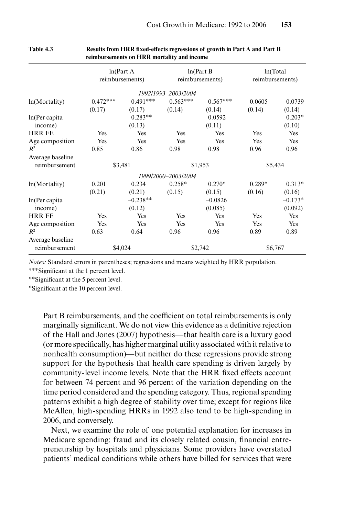|                                   |             | ln(Part A)<br>reimbursements) |                     | ln(Part B)<br>reimbursements) |           | ln(Total<br>reimbursements) |
|-----------------------------------|-------------|-------------------------------|---------------------|-------------------------------|-----------|-----------------------------|
|                                   |             |                               | 1992/1993-2003/2004 |                               |           |                             |
| ln(Mortality)                     | $-0.472***$ | $-0.491***$                   | $0.563***$          | $0.567***$                    | $-0.0605$ | $-0.0739$                   |
|                                   | (0.17)      | (0.17)                        | (0.14)              | (0.14)                        | (0.14)    | (0.14)                      |
| ln(Per capita                     |             | $-0.283**$                    |                     | 0.0592                        |           | $-0.203*$                   |
| income)                           |             | (0.13)                        |                     | (0.11)                        |           | (0.10)                      |
| <b>HRRFE</b>                      | Yes         | Yes                           | Yes                 | Yes                           | Yes       | Yes                         |
| Age composition                   | Yes         | Yes                           | Yes                 | Yes                           | Yes       | Yes                         |
| $R^2$                             | 0.85        | 0.86                          | 0.98                | 0.98                          | 0.96      | 0.96                        |
| Average baseline<br>reimbursement |             | \$3,481                       |                     | \$1,953                       |           | \$5,434                     |
|                                   |             |                               | 1999/2000-2003/2004 |                               |           |                             |
| ln(Mortality)                     | 0.201       | 0.234                         | $0.258*$            | $0.270*$                      | $0.289*$  | $0.313*$                    |
|                                   | (0.21)      | (0.21)                        | (0.15)              | (0.15)                        | (0.16)    | (0.16)                      |
| ln(Per capita                     |             | $-0.238**$                    |                     | $-0.0826$                     |           | $-0.173*$                   |
| income)                           |             | (0.12)                        |                     | (0.085)                       |           | (0.092)                     |
| <b>HRRFE</b>                      | Yes         | Yes                           | Yes                 | Yes                           | Yes       | Yes                         |
| Age composition                   | Yes         | Yes                           | Yes                 | Yes                           | Yes       | Yes                         |
| $R^2$                             | 0.63        | 0.64                          | 0.96                | 0.96                          | 0.89      | 0.89                        |
| Average baseline<br>reimbursement |             | \$4,024                       |                     | \$2,742                       |           | \$6,767                     |

#### Table 4.3 **Results from HRR fixed-effects regressions of growth in Part A and Part B reimbursements on HRR mortality and income**

*Notes:* Standard errors in parentheses; regressions and means weighted by HRR population.

∗∗∗Signifi cant at the 1 percent level.

∗∗Signifi cant at the 5 percent level.

∗Signifi cant at the 10 percent level.

Part B reimbursements, and the coefficient on total reimbursements is only marginally significant. We do not view this evidence as a definitive rejection of the Hall and Jones (2007) hypothesis—that health care is a luxury good (or more specifically, has higher marginal utility associated with it relative to nonhealth consumption)—but neither do these regressions provide strong support for the hypothesis that health care spending is driven largely by community-level income levels. Note that the HRR fixed effects account for between 74 percent and 96 percent of the variation depending on the time period considered and the spending category. Thus, regional spending patterns exhibit a high degree of stability over time; except for regions like McAllen, high- spending HRRs in 1992 also tend to be high- spending in 2006, and conversely.

Next, we examine the role of one potential explanation for increases in Medicare spending: fraud and its closely related cousin, financial entrepreneurship by hospitals and physicians. Some providers have overstated patients' medical conditions while others have billed for services that were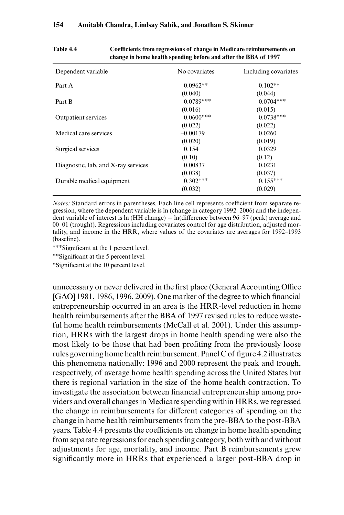| Dependent variable                  | No covariates | Including covariates |
|-------------------------------------|---------------|----------------------|
| Part A                              | $-0.0962**$   | $-0.102**$           |
|                                     | (0.040)       | (0.044)              |
| Part B                              | $0.0789***$   | $0.0704***$          |
|                                     | (0.016)       | (0.015)              |
| Outpatient services                 | $-0.0600***$  | $-0.0738***$         |
|                                     | (0.022)       | (0.022)              |
| Medical care services               | $-0.00179$    | 0.0260               |
|                                     | (0.020)       | (0.019)              |
| Surgical services                   | 0.154         | 0.0329               |
|                                     | (0.10)        | (0.12)               |
| Diagnostic, lab, and X-ray services | 0.00837       | 0.0231               |
|                                     | (0.038)       | (0.037)              |
| Durable medical equipment           | $0.302***$    | $0.155***$           |
|                                     | (0.032)       | (0.029)              |

| <b>Table 4.4</b> | Coefficients from regressions of change in Medicare reimbursements on |
|------------------|-----------------------------------------------------------------------|
|                  | change in home health spending before and after the BBA of 1997       |

*Notes:* Standard errors in parentheses. Each line cell represents coefficient from separate regression, where the dependent variable is ln (change in category 1992–2006) and the independent variable of interest is ln (HH change) =  $ln(d)$  (difference between 96–97 (peak) average and 00–01 (trough)). Regressions including covariates control for age distribution, adjusted mortality, and income in the HRR, where values of the covariates are averages for 1992–1993 (baseline).

∗∗∗Signifi cant at the 1 percent level.

∗∗Signifi cant at the 5 percent level.

∗Signifi cant at the 10 percent level.

unnecessary or never delivered in the first place (General Accounting Office [GAO] 1981, 1986, 1996, 2009). One marker of the degree to which financial entrepreneurship occurred in an area is the HRR- level reduction in home health reimbursements after the BBA of 1997 revised rules to reduce wasteful home health reimbursements (McCall et al. 2001). Under this assumption, HRRs with the largest drops in home health spending were also the most likely to be those that had been profiting from the previously loose rules governing home health reimbursement. Panel C of figure 4.2 illustrates this phenomena nationally: 1996 and 2000 represent the peak and trough, respectively, of average home health spending across the United States but there is regional variation in the size of the home health contraction. To investigate the association between financial entrepreneurship among providers and overall changes in Medicare spending within HRRs, we regressed the change in reimbursements for different categories of spending on the change in home health reimbursements from the pre- BBA to the post- BBA years. Table 4.4 presents the coefficients on change in home health spending from separate regressions for each spending category, both with and without adjustments for age, mortality, and income. Part B reimbursements grew significantly more in HRRs that experienced a larger post-BBA drop in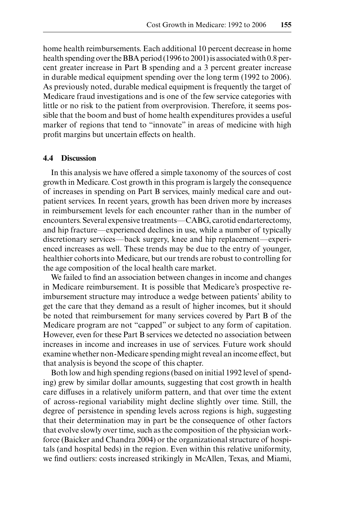home health reimbursements. Each additional 10 percent decrease in home health spending over the BBA period (1996 to 2001) is associated with 0.8 percent greater increase in Part B spending and a 3 percent greater increase in durable medical equipment spending over the long term (1992 to 2006). As previously noted, durable medical equipment is frequently the target of Medicare fraud investigations and is one of the few service categories with little or no risk to the patient from overprovision. Therefore, it seems possible that the boom and bust of home health expenditures provides a useful marker of regions that tend to "innovate" in areas of medicine with high profit margins but uncertain effects on health.

#### **4.4 Discussion**

In this analysis we have offered a simple taxonomy of the sources of cost growth in Medicare. Cost growth in this program is largely the consequence of increases in spending on Part B services, mainly medical care and outpatient services. In recent years, growth has been driven more by increases in reimbursement levels for each encounter rather than in the number of encounters. Several expensive treatments—CABG, carotid endarterectomy, and hip fracture—experienced declines in use, while a number of typically discretionary services—back surgery, knee and hip replacement—experienced increases as well. These trends may be due to the entry of younger, healthier cohorts into Medicare, but our trends are robust to controlling for the age composition of the local health care market.

We failed to find an association between changes in income and changes in Medicare reimbursement. It is possible that Medicare's prospective reimbursement structure may introduce a wedge between patients' ability to get the care that they demand as a result of higher incomes, but it should be noted that reimbursement for many services covered by Part B of the Medicare program are not "capped" or subject to any form of capitation. However, even for these Part B services we detected no association between increases in income and increases in use of services. Future work should examine whether non- Medicare spending might reveal an income effect, but that analysis is beyond the scope of this chapter.

Both low and high spending regions (based on initial 1992 level of spending) grew by similar dollar amounts, suggesting that cost growth in health care diffuses in a relatively uniform pattern, and that over time the extent of across- regional variability might decline slightly over time. Still, the degree of persistence in spending levels across regions is high, suggesting that their determination may in part be the consequence of other factors that evolve slowly over time, such as the composition of the physician workforce (Baicker and Chandra 2004) or the organizational structure of hospitals (and hospital beds) in the region. Even within this relative uniformity, we find outliers: costs increased strikingly in McAllen, Texas, and Miami,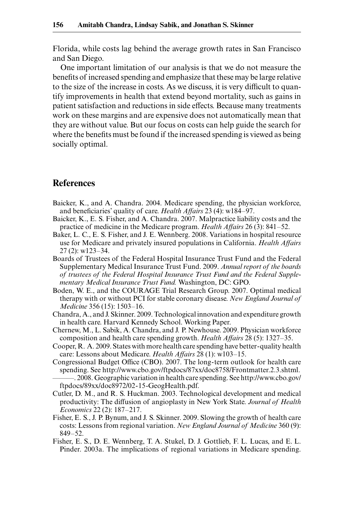Florida, while costs lag behind the average growth rates in San Francisco and San Diego.

One important limitation of our analysis is that we do not measure the benefits of increased spending and emphasize that these may be large relative to the size of the increase in costs. As we discuss, it is very difficult to quantify improvements in health that extend beyond mortality, such as gains in patient satisfaction and reductions in side effects. Because many treatments work on these margins and are expensive does not automatically mean that they are without value. But our focus on costs can help guide the search for where the benefits must be found if the increased spending is viewed as being socially optimal.

### **References**

- Baicker, K., and A. Chandra. 2004. Medicare spending, the physician workforce, and beneficiaries' quality of care. *Health Affairs* 23 (4): w184–97.
- Baicker, K., E. S. Fisher, and A. Chandra. 2007. Malpractice liability costs and the practice of medicine in the Medicare program. *Health Affairs* 26 (3): 841–52.
- Baker, L. C., E. S. Fisher, and J. E. Wennberg. 2008. Variations in hospital resource use for Medicare and privately insured populations in California. *Health Affairs* 27 (2): w123–34.
- Boards of Trustees of the Federal Hospital Insurance Trust Fund and the Federal Supplementary Medical Insurance Trust Fund. 2009. *Annual report of the boards of trustees of the Federal Hospital Insurance Trust Fund and the Federal Supplementary Medical Insurance Trust Fund.* Washington, DC: GPO.
- Boden, W. E., and the COURAGE Trial Research Group. 2007. Optimal medical therapy with or without PCI for stable coronary disease. *New England Journal of Medicine* 356 (15): 1503–16.
- Chandra, A., and J. Skinner. 2009. Technological innovation and expenditure growth in health care. Harvard Kennedy School. Working Paper.
- Chernew, M., L. Sabik, A. Chandra, and J. P. Newhouse. 2009. Physician workforce composition and health care spending growth. *Health Affairs* 28 (5): 1327–35.
- Cooper, R. A. 2009. States with more health care spending have better- quality health care: Lessons about Medicare. *Health Affairs* 28 (1): w103–15.
- Congressional Budget Office (CBO). 2007. The long- term outlook for health care spending. See http://www.cbo.gov/ftpdocs/87xx/doc8758/Frontmatter.2.3.shtml.
- ———. 2008. Geographic variation in health care spending. See http://www.cbo.gov/ ftpdocs/89xx/doc8972/02- 15- GeogHealth.pdf.
- Cutler, D. M., and R. S. Huckman. 2003. Technological development and medical productivity: The diffusion of angioplasty in New York State. *Journal of Health Economics* 22 (2): 187–217.
- Fisher, E. S., J. P. Bynum, and J. S. Skinner. 2009. Slowing the growth of health care costs: Lessons from regional variation. *New England Journal of Medicine* 360 (9): 849–52.
- Fisher, E. S., D. E. Wennberg, T. A. Stukel, D. J. Gottlieb, F. L. Lucas, and E. L. Pinder. 2003a. The implications of regional variations in Medicare spending.